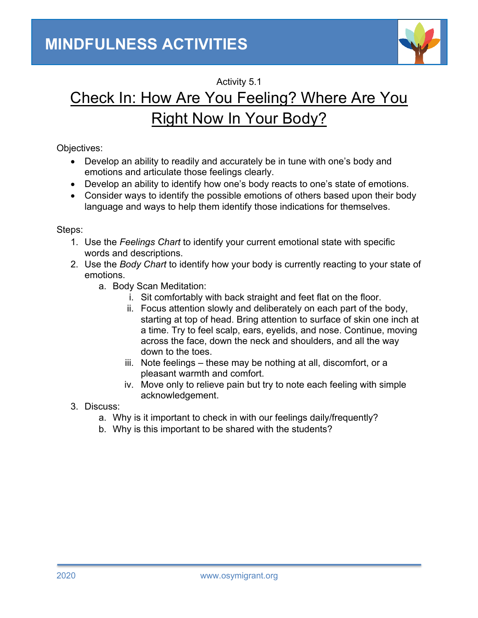

# Activity 5.1 Check In: How Are You Feeling? Where Are You Right Now In Your Body?

## Objectives:

- Develop an ability to readily and accurately be in tune with one's body and emotions and articulate those feelings clearly.
- Develop an ability to identify how one's body reacts to one's state of emotions.
- Consider ways to identify the possible emotions of others based upon their body language and ways to help them identify those indications for themselves.

#### Steps:

- 1. Use the *Feelings Chart* to identify your current emotional state with specific words and descriptions.
- 2. Use the *Body Chart* to identify how your body is currently reacting to your state of emotions.
	- a. Body Scan Meditation:
		- i. Sit comfortably with back straight and feet flat on the floor.
		- ii. Focus attention slowly and deliberately on each part of the body, starting at top of head. Bring attention to surface of skin one inch at a time. Try to feel scalp, ears, eyelids, and nose. Continue, moving across the face, down the neck and shoulders, and all the way down to the toes.
		- iii. Note feelings these may be nothing at all, discomfort, or a pleasant warmth and comfort.
		- iv. Move only to relieve pain but try to note each feeling with simple acknowledgement.
- 3. Discuss:
	- a. Why is it important to check in with our feelings daily/frequently?
	- b. Why is this important to be shared with the students?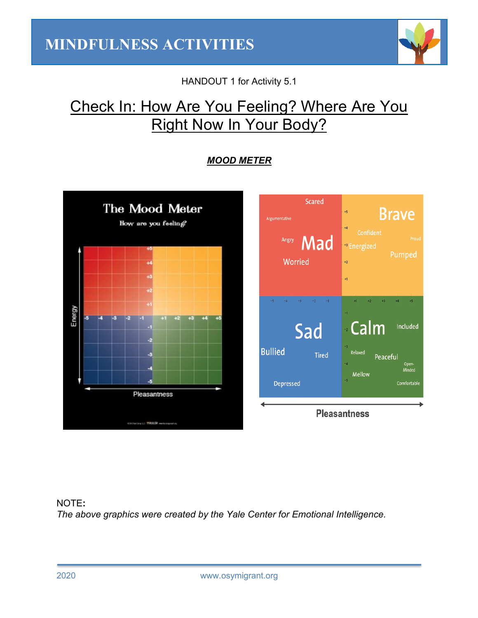

HANDOUT 1 for Activity 5.1

# Check In: How Are You Feeling? Where Are You Right Now In Your Body?

# *MOOD METER*





## NOTE**:** *The above graphics were created by the Yale Center for Emotional Intelligence.*